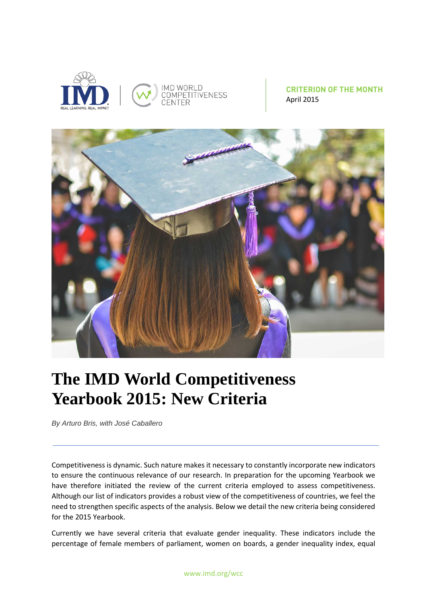



**CRITERION OF THE MONTH** April 2015



## **The IMD World Competitiveness Yearbook 2015: New Criteria**

*By Arturo Bris, with José Caballero*

Competitiveness is dynamic. Such nature makes it necessary to constantly incorporate new indicators to ensure the continuous relevance of our research. In preparation for the upcoming Yearbook we have therefore initiated the review of the current criteria employed to assess competitiveness. Although our list of indicators provides a robust view of the competitiveness of countries, we feel the need to strengthen specific aspects of the analysis. Below we detail the new criteria being considered for the 2015 Yearbook.

Currently we have several criteria that evaluate gender inequality. These indicators include the percentage of female members of parliament, women on boards, a gender inequality index, equal